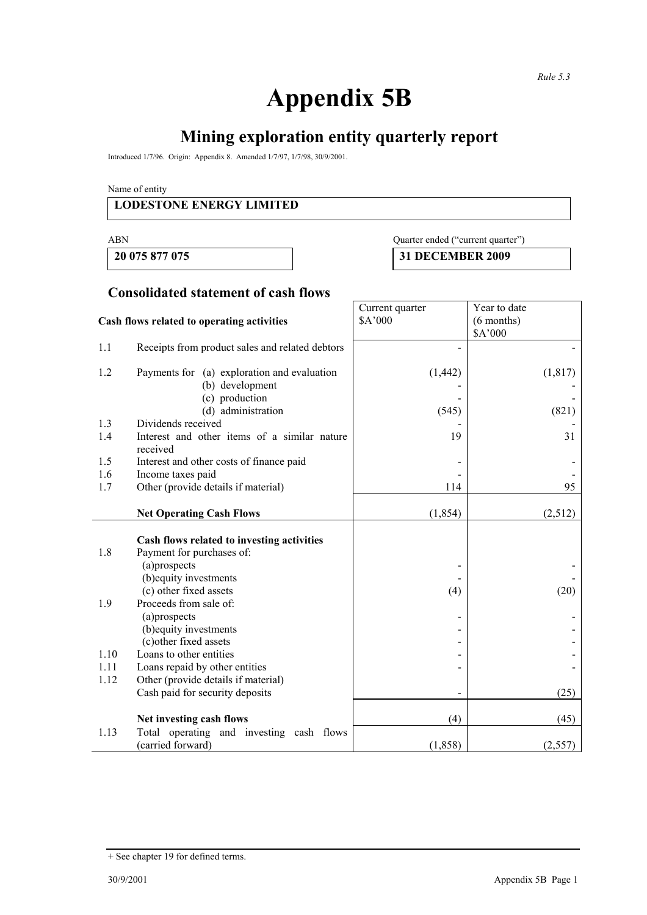# **Appendix 5B**

# **Mining exploration entity quarterly report**

Introduced 1/7/96. Origin: Appendix 8. Amended 1/7/97, 1/7/98, 30/9/2001.

Name of entity

#### **LODESTONE ENERGY LIMITED**

#### ABN Quarter ended ("current quarter")

**20 075 877 075 31 DECEMBER 2009** 

## **Consolidated statement of cash flows**

| Cash flows related to operating activities |                                                                                                                                             | Current quarter<br>\$A'000 | Year to date<br>$(6$ months)<br>\$A'000 |
|--------------------------------------------|---------------------------------------------------------------------------------------------------------------------------------------------|----------------------------|-----------------------------------------|
| 1.1                                        | Receipts from product sales and related debtors                                                                                             |                            |                                         |
| 1.2                                        | Payments for (a) exploration and evaluation<br>(b) development<br>(c) production<br>(d) administration                                      | (1, 442)<br>(545)          | (1, 817)<br>(821)                       |
| 1.3                                        | Dividends received                                                                                                                          |                            |                                         |
| 1.4                                        | Interest and other items of a similar nature<br>received                                                                                    | 19                         | 31                                      |
| 1.5                                        | Interest and other costs of finance paid                                                                                                    |                            |                                         |
| 1.6                                        | Income taxes paid                                                                                                                           |                            |                                         |
| 1.7                                        | Other (provide details if material)                                                                                                         | 114                        | 95                                      |
|                                            | <b>Net Operating Cash Flows</b>                                                                                                             | (1, 854)                   | (2,512)                                 |
| 1.8                                        | Cash flows related to investing activities<br>Payment for purchases of:<br>(a)prospects<br>(b) equity investments<br>(c) other fixed assets | (4)                        | (20)                                    |
| 1.9                                        | Proceeds from sale of:<br>(a)prospects<br>(b) equity investments<br>(c) other fixed assets                                                  |                            |                                         |
| 1.10                                       | Loans to other entities                                                                                                                     |                            |                                         |
| 1.11                                       | Loans repaid by other entities                                                                                                              |                            |                                         |
| 1.12                                       | Other (provide details if material)<br>Cash paid for security deposits                                                                      |                            | (25)                                    |
|                                            | Net investing cash flows                                                                                                                    | (4)                        | (45)                                    |
| 1.13                                       | Total operating and investing cash flows<br>(carried forward)                                                                               | (1, 858)                   | (2, 557)                                |

<sup>+</sup> See chapter 19 for defined terms.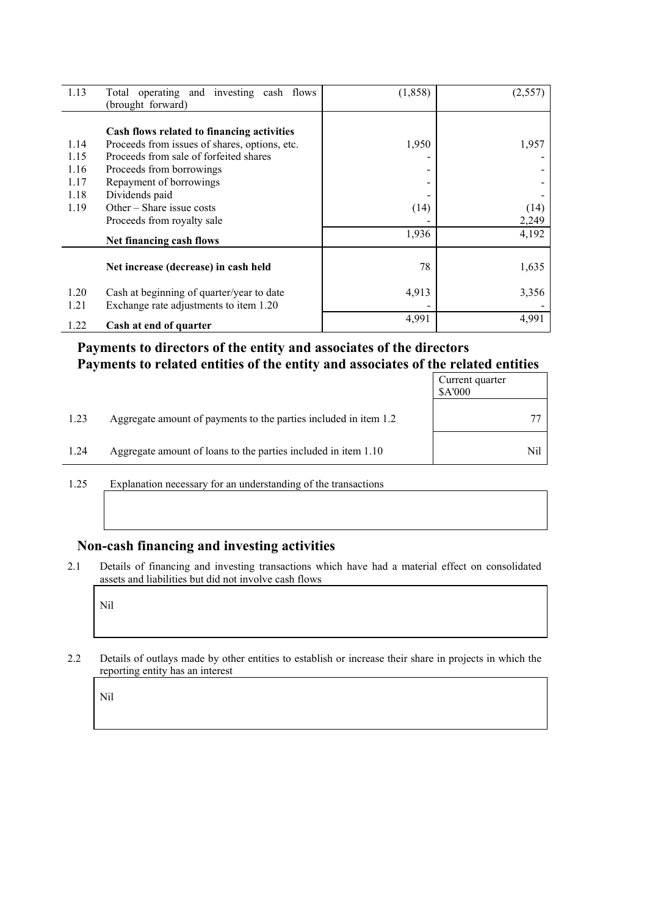| 1.13 | Total operating and investing cash flows<br>(brought forward) | (1, 858) | (2, 557) |
|------|---------------------------------------------------------------|----------|----------|
|      |                                                               |          |          |
|      | Cash flows related to financing activities                    |          |          |
| 1.14 | Proceeds from issues of shares, options, etc.                 | 1,950    | 1,957    |
| 1.15 | Proceeds from sale of forfeited shares                        |          |          |
| 1.16 | Proceeds from borrowings                                      | -        |          |
| 1.17 | Repayment of borrowings                                       |          |          |
| 1.18 | Dividends paid                                                |          |          |
| 1.19 | Other – Share issue costs                                     | (14)     | (14)     |
|      | Proceeds from royalty sale                                    |          | 2,249    |
|      | Net financing cash flows                                      | 1,936    | 4,192    |
|      | Net increase (decrease) in cash held                          | 78       | 1,635    |
| 1.20 | Cash at beginning of quarter/year to date                     | 4,913    | 3,356    |
| 1.21 | Exchange rate adjustments to item 1.20                        |          |          |
| 1.22 | Cash at end of quarter                                        | 4,991    | 4,991    |

### **Payments to directors of the entity and associates of the directors Payments to related entities of the entity and associates of the related entities**

|      |                                                                  | Current quarter<br>\$A'000 |
|------|------------------------------------------------------------------|----------------------------|
| 1.23 | Aggregate amount of payments to the parties included in item 1.2 |                            |
| 1.24 | Aggregate amount of loans to the parties included in item 1.10   | Nil                        |

1.25 Explanation necessary for an understanding of the transactions

## **Non-cash financing and investing activities**

2.1 Details of financing and investing transactions which have had a material effect on consolidated assets and liabilities but did not involve cash flows

Nil

2.2 Details of outlays made by other entities to establish or increase their share in projects in which the reporting entity has an interest

Nil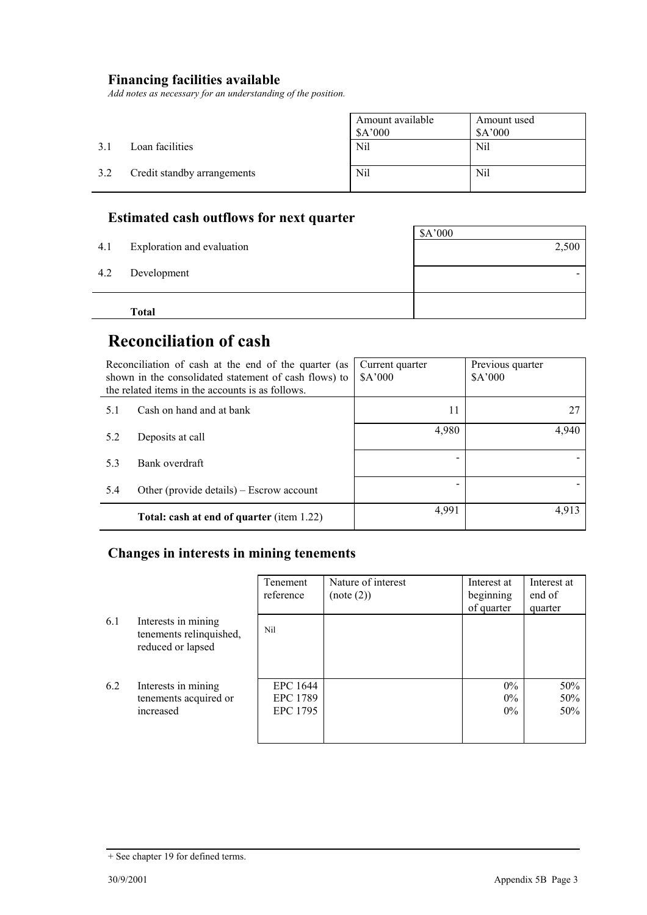#### **Financing facilities available**

*Add notes as necessary for an understanding of the position.* 

|     |                             | Amount available<br>\$A'000 | Amount used<br>\$A'000 |
|-----|-----------------------------|-----------------------------|------------------------|
| 3.1 | Loan facilities             | Nil                         | Nil                    |
| 3.2 | Credit standby arrangements | Nil                         | Nil                    |

# **Estimated cash outflows for next quarter**

| 4.2 | Development  | - |
|-----|--------------|---|
|     | <b>Total</b> |   |

# **Reconciliation of cash**

|     | Reconciliation of cash at the end of the quarter (as<br>shown in the consolidated statement of cash flows) to<br>the related items in the accounts is as follows. | Current quarter<br>A'000 | Previous quarter<br>\$A'000 |
|-----|-------------------------------------------------------------------------------------------------------------------------------------------------------------------|--------------------------|-----------------------------|
| 5.1 | Cash on hand and at bank                                                                                                                                          | 11                       | 27                          |
| 5.2 | Deposits at call                                                                                                                                                  | 4,980                    | 4,940                       |
| 5.3 | Bank overdraft                                                                                                                                                    |                          |                             |
| 5.4 | Other (provide details) $-$ Escrow account                                                                                                                        |                          |                             |
|     | Total: cash at end of quarter (item 1.22)                                                                                                                         | 4,991                    | 4.913                       |

#### **Changes in interests in mining tenements**

|     |                                                                     | Tenement<br>reference            | Nature of interest<br>(note (2)) | Interest at<br>beginning<br>of quarter | Interest at<br>end of<br>quarter |
|-----|---------------------------------------------------------------------|----------------------------------|----------------------------------|----------------------------------------|----------------------------------|
| 6.1 | Interests in mining<br>tenements relinquished,<br>reduced or lapsed | Nil                              |                                  |                                        |                                  |
| 6.2 | Interests in mining<br>tenements acquired or<br>increased           | EPC 1644<br>EPC 1789<br>EPC 1795 |                                  | $0\%$<br>$0\%$<br>$0\%$                | 50%<br>50%<br>50%                |

<sup>+</sup> See chapter 19 for defined terms.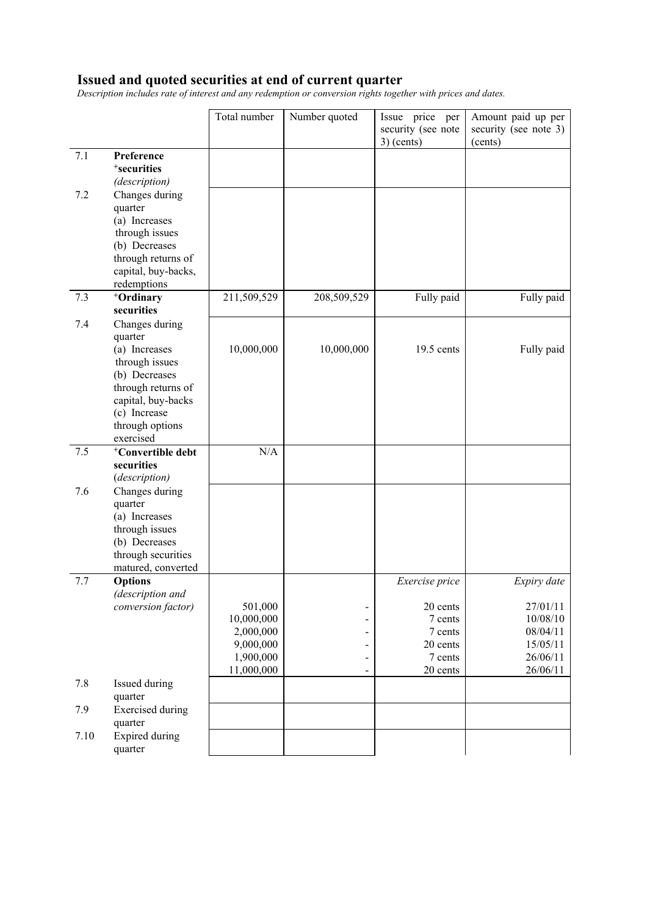#### **Issued and quoted securities at end of current quarter**

*Description includes rate of interest and any redemption or conversion rights together with prices and dates.* 

|      |                                            | Total number | Number quoted            | Issue price per<br>security (see note<br>$3)$ (cents) | Amount paid up per<br>security (see note 3)<br>(cents) |
|------|--------------------------------------------|--------------|--------------------------|-------------------------------------------------------|--------------------------------------------------------|
| 7.1  | Preference                                 |              |                          |                                                       |                                                        |
|      | <sup>+</sup> securities                    |              |                          |                                                       |                                                        |
|      | (description)                              |              |                          |                                                       |                                                        |
| 7.2  | Changes during                             |              |                          |                                                       |                                                        |
|      | quarter                                    |              |                          |                                                       |                                                        |
|      | (a) Increases                              |              |                          |                                                       |                                                        |
|      | through issues                             |              |                          |                                                       |                                                        |
|      | (b) Decreases                              |              |                          |                                                       |                                                        |
|      | through returns of                         |              |                          |                                                       |                                                        |
|      | capital, buy-backs,                        |              |                          |                                                       |                                                        |
| 7.3  | redemptions<br>+Ordinary                   | 211,509,529  | 208,509,529              | Fully paid                                            | Fully paid                                             |
|      | securities                                 |              |                          |                                                       |                                                        |
| 7.4  | Changes during                             |              |                          |                                                       |                                                        |
|      | quarter                                    |              |                          |                                                       |                                                        |
|      | (a) Increases                              | 10,000,000   | 10,000,000               | 19.5 cents                                            | Fully paid                                             |
|      | through issues                             |              |                          |                                                       |                                                        |
|      | (b) Decreases                              |              |                          |                                                       |                                                        |
|      | through returns of                         |              |                          |                                                       |                                                        |
|      | capital, buy-backs                         |              |                          |                                                       |                                                        |
|      | (c) Increase                               |              |                          |                                                       |                                                        |
|      | through options                            |              |                          |                                                       |                                                        |
|      | exercised<br><sup>+</sup> Convertible debt | N/A          |                          |                                                       |                                                        |
| 7.5  | securities                                 |              |                          |                                                       |                                                        |
|      | (description)                              |              |                          |                                                       |                                                        |
| 7.6  | Changes during                             |              |                          |                                                       |                                                        |
|      | quarter                                    |              |                          |                                                       |                                                        |
|      | (a) Increases                              |              |                          |                                                       |                                                        |
|      | through issues                             |              |                          |                                                       |                                                        |
|      | (b) Decreases                              |              |                          |                                                       |                                                        |
|      | through securities                         |              |                          |                                                       |                                                        |
|      | matured, converted                         |              |                          |                                                       |                                                        |
| 7.7  | <b>Options</b>                             |              |                          | Exercise price                                        | Expiry date                                            |
|      | (description and<br>conversion factor)     | 501,000      | -                        | 20 cents                                              | 27/01/11                                               |
|      |                                            | 10,000,000   | -                        | 7 cents                                               | 10/08/10                                               |
|      |                                            | 2,000,000    | -                        | 7 cents                                               | 08/04/11                                               |
|      |                                            | 9,000,000    | -                        | 20 cents                                              | 15/05/11                                               |
|      |                                            | 1,900,000    | $\overline{\phantom{0}}$ | 7 cents                                               | 26/06/11                                               |
|      |                                            | 11,000,000   | $\overline{\phantom{0}}$ | 20 cents                                              | 26/06/11                                               |
| 7.8  | Issued during<br>quarter                   |              |                          |                                                       |                                                        |
| 7.9  | <b>Exercised</b> during                    |              |                          |                                                       |                                                        |
|      | quarter                                    |              |                          |                                                       |                                                        |
| 7.10 | Expired during<br>quarter                  |              |                          |                                                       |                                                        |